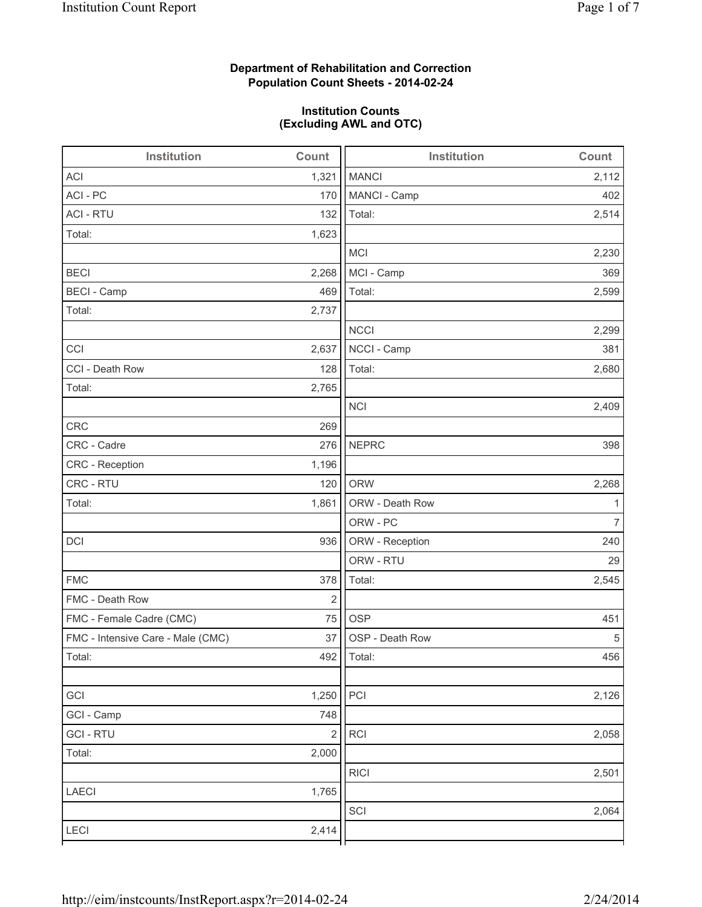## **Department of Rehabilitation and Correction Population Count Sheets - 2014-02-24**

## **Institution Counts (Excluding AWL and OTC)**

| Institution                       | Count      | <b>Institution</b> | Count          |
|-----------------------------------|------------|--------------------|----------------|
| <b>ACI</b>                        | 1,321      | <b>MANCI</b>       | 2,112          |
| ACI - PC                          | 170        | MANCI - Camp       | 402            |
| <b>ACI - RTU</b>                  | 132        | Total:             | 2,514          |
| Total:                            | 1,623      |                    |                |
|                                   |            | <b>MCI</b>         | 2,230          |
| <b>BECI</b>                       | 2,268      | MCI - Camp         | 369            |
| <b>BECI - Camp</b>                | 469        | Total:             | 2,599          |
| Total:                            | 2,737      |                    |                |
|                                   |            | <b>NCCI</b>        | 2,299          |
| CCI                               | 2,637      | NCCI - Camp        | 381            |
| CCI - Death Row                   | 128        | Total:             | 2,680          |
| Total:                            | 2,765      |                    |                |
|                                   |            | <b>NCI</b>         | 2,409          |
| <b>CRC</b>                        | 269        |                    |                |
| CRC - Cadre                       | 276        | <b>NEPRC</b>       | 398            |
| CRC - Reception                   | 1,196      |                    |                |
| CRC - RTU                         | 120        | <b>ORW</b>         | 2,268          |
| Total:                            | 1,861      | ORW - Death Row    | 1              |
|                                   |            | ORW - PC           | $\overline{7}$ |
| DCI                               | 936        | ORW - Reception    | 240            |
|                                   |            | ORW - RTU          | 29             |
| <b>FMC</b>                        | 378        | Total:             | 2,545          |
| FMC - Death Row                   | $\sqrt{2}$ |                    |                |
| FMC - Female Cadre (CMC)          | 75         | <b>OSP</b>         | 451            |
| FMC - Intensive Care - Male (CMC) | 37         | OSP - Death Row    | 5              |
| Total:                            | 492        | Total:             | 456            |
|                                   |            |                    |                |
| GCI                               | 1,250      | PCI                | 2,126          |
| GCI - Camp                        | 748        |                    |                |
| <b>GCI-RTU</b>                    | $\sqrt{2}$ | RCI                | 2,058          |
| Total:                            | 2,000      |                    |                |
|                                   |            | <b>RICI</b>        | 2,501          |
| LAECI                             | 1,765      |                    |                |
|                                   |            | SCI                | 2,064          |
| LECI                              | 2,414      |                    |                |
|                                   |            |                    |                |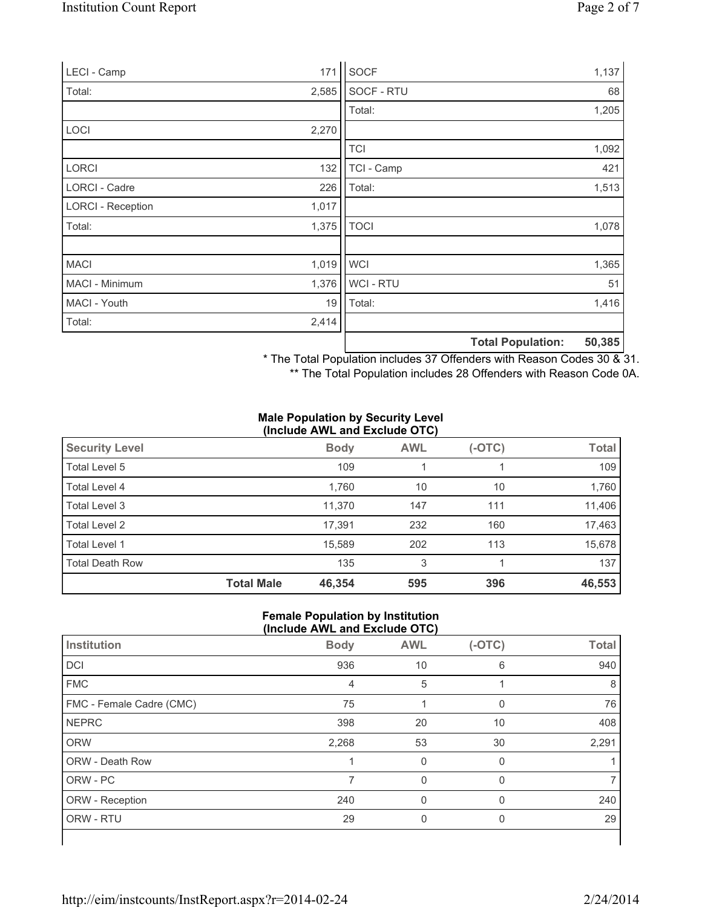| LECI - Camp              | 171   | SOCF           |                          | 1,137  |
|--------------------------|-------|----------------|--------------------------|--------|
| Total:                   | 2,585 | SOCF - RTU     |                          | 68     |
|                          |       | Total:         |                          | 1,205  |
| LOCI                     | 2,270 |                |                          |        |
|                          |       | <b>TCI</b>     |                          | 1,092  |
| <b>LORCI</b>             | 132   | TCI - Camp     |                          | 421    |
| LORCI - Cadre            | 226   | Total:         |                          | 1,513  |
| <b>LORCI - Reception</b> | 1,017 |                |                          |        |
| Total:                   | 1,375 | <b>TOCI</b>    |                          | 1,078  |
|                          |       |                |                          |        |
| <b>MACI</b>              | 1,019 | <b>WCI</b>     |                          | 1,365  |
| MACI - Minimum           | 1,376 | <b>WCI-RTU</b> |                          | 51     |
| MACI - Youth             | 19    | Total:         |                          | 1,416  |
| Total:                   | 2,414 |                |                          |        |
|                          |       |                | <b>Total Population:</b> | 50,385 |

\* The Total Population includes 37 Offenders with Reason Codes 30 & 31.

\*\* The Total Population includes 28 Offenders with Reason Code 0A.

#### **Male Population by Security Level (Include AWL and Exclude OTC)**

| <b>Security Level</b>  |                   | <b>Body</b> | <b>AWL</b> | $(-OTC)$ | <b>Total</b> |
|------------------------|-------------------|-------------|------------|----------|--------------|
| Total Level 5          |                   | 109         |            |          | 109          |
| Total Level 4          |                   | 1,760       | 10         | 10       | 1,760        |
| Total Level 3          |                   | 11.370      | 147        | 111      | 11,406       |
| Total Level 2          |                   | 17,391      | 232        | 160      | 17,463       |
| Total Level 1          |                   | 15.589      | 202        | 113      | 15,678       |
| <b>Total Death Row</b> |                   | 135         | 3          |          | 137          |
|                        | <b>Total Male</b> | 46,354      | 595        | 396      | 46,553       |

#### **Female Population by Institution (Include AWL and Exclude OTC)**

| Institution              | <b>Body</b> | <b>AWL</b> | $(-OTC)$     | <b>Total</b> |
|--------------------------|-------------|------------|--------------|--------------|
| DCI                      | 936         | 10         | 6            | 940          |
| <b>FMC</b>               | 4           | 5          |              | 8            |
| FMC - Female Cadre (CMC) | 75          |            | $\mathbf{0}$ | 76           |
| <b>NEPRC</b>             | 398         | 20         | 10           | 408          |
| <b>ORW</b>               | 2,268       | 53         | 30           | 2,291        |
| ORW - Death Row          |             | 0          | $\mathbf{0}$ |              |
| ORW - PC                 | 7           | $\Omega$   | 0            |              |
| ORW - Reception          | 240         | 0          | $\Omega$     | 240          |
| ORW - RTU                | 29          | 0          | 0            | 29           |
|                          |             |            |              |              |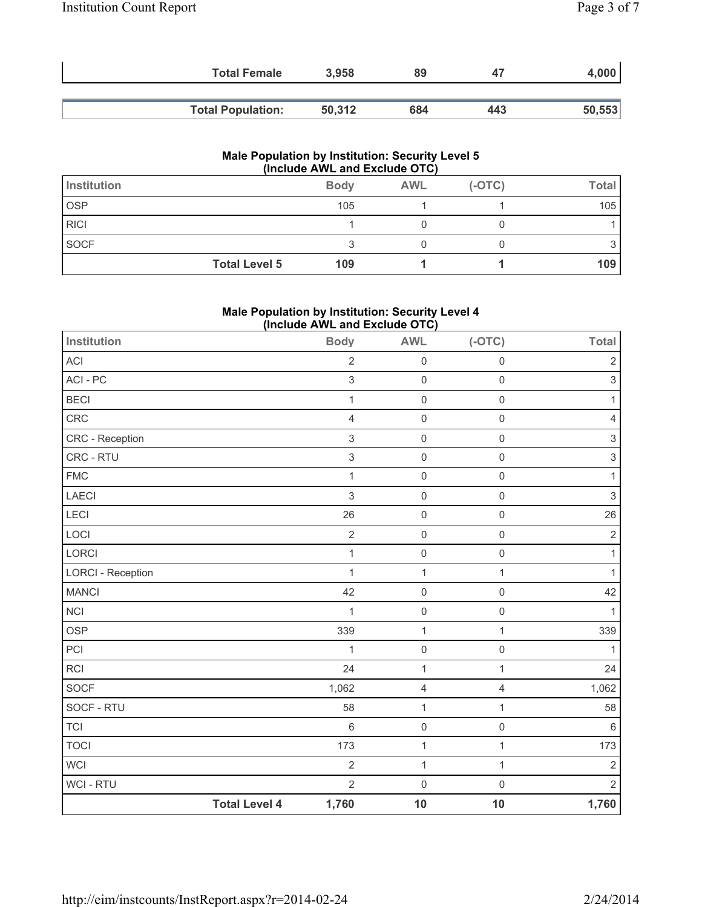| <b>Total Female</b>      | 3.958  | 89  | 47  | 4,000  |
|--------------------------|--------|-----|-----|--------|
|                          |        |     |     |        |
| <b>Total Population:</b> | 50,312 | 684 | 443 | 50,553 |

#### **Male Population by Institution: Security Level 5 (Include AWL and Exclude OTC)**

| Institution |                      | <b>Body</b> | <b>AWL</b> | $(-OTC)$ | <b>Total</b> |
|-------------|----------------------|-------------|------------|----------|--------------|
| <b>OSP</b>  |                      | 105         |            |          | 105          |
| <b>RICI</b> |                      |             |            |          |              |
| SOCF        |                      |             |            |          |              |
|             | <b>Total Level 5</b> | 109         |            |          | 109          |

## **Male Population by Institution: Security Level 4 (Include AWL and Exclude OTC)**

| Institution              |                      | =<br><b>Body</b>          | . ,<br><b>AWL</b>   | $(-OTC)$            | <b>Total</b>              |
|--------------------------|----------------------|---------------------------|---------------------|---------------------|---------------------------|
| ACI                      |                      | $\overline{2}$            | $\mathsf 0$         | $\mathbf 0$         | $\sqrt{2}$                |
| ACI - PC                 |                      | 3                         | $\mathsf{O}\xspace$ | $\mathsf{O}\xspace$ | $\,$ 3 $\,$               |
| <b>BECI</b>              |                      | $\mathbf{1}$              | $\mathsf{O}\xspace$ | $\mathsf{O}\xspace$ | 1                         |
| CRC                      |                      | 4                         | $\mathsf{O}\xspace$ | $\mathsf{O}\xspace$ | $\overline{4}$            |
| CRC - Reception          |                      | $\,$ 3 $\,$               | $\mathsf 0$         | $\mathsf{O}\xspace$ | 3                         |
| CRC - RTU                |                      | $\ensuremath{\mathsf{3}}$ | $\mathsf 0$         | $\mathbf 0$         | $\ensuremath{\mathsf{3}}$ |
| <b>FMC</b>               |                      | $\mathbf{1}$              | $\mathsf{O}\xspace$ | $\mathsf{O}\xspace$ | 1                         |
| <b>LAECI</b>             |                      | 3                         | $\mathsf{O}\xspace$ | $\mathbf 0$         | $\mathsf 3$               |
| LECI                     |                      | 26                        | $\mathsf 0$         | $\mathbf 0$         | 26                        |
| LOCI                     |                      | $\overline{2}$            | $\mathsf{O}\xspace$ | $\mathsf 0$         | $\sqrt{2}$                |
| LORCI                    |                      | $\mathbf{1}$              | $\mathsf{O}\xspace$ | $\mathsf 0$         | 1                         |
| <b>LORCI - Reception</b> |                      | $\mathbf{1}$              | $\mathbf{1}$        | $\mathbf{1}$        | 1                         |
| <b>MANCI</b>             |                      | 42                        | $\mathsf 0$         | $\mathsf{O}\xspace$ | 42                        |
| <b>NCI</b>               |                      | $\mathbf{1}$              | $\mathsf{O}\xspace$ | $\mathsf{O}\xspace$ | 1                         |
| <b>OSP</b>               |                      | 339                       | $\mathbf{1}$        | $\mathbf{1}$        | 339                       |
| PCI                      |                      | $\mathbf{1}$              | $\mathsf{O}\xspace$ | $\mathbf 0$         | 1                         |
| <b>RCI</b>               |                      | 24                        | $\mathbf{1}$        | $\mathbf{1}$        | 24                        |
| <b>SOCF</b>              |                      | 1,062                     | 4                   | $\overline{4}$      | 1,062                     |
| SOCF - RTU               |                      | 58                        | $\mathbf 1$         | $\mathbf{1}$        | 58                        |
| <b>TCI</b>               |                      | 6                         | $\mathsf{O}\xspace$ | $\mathsf{O}\xspace$ | $6\phantom{1}$            |
| <b>TOCI</b>              |                      | 173                       | $\mathbf 1$         | $\mathbf{1}$        | 173                       |
| <b>WCI</b>               |                      | $\overline{2}$            | $\mathbf 1$         | $\mathbf{1}$        | $\overline{2}$            |
| <b>WCI - RTU</b>         |                      | $\overline{2}$            | $\mathsf{O}\xspace$ | $\mathsf{O}\xspace$ | $\sqrt{2}$                |
|                          | <b>Total Level 4</b> | 1,760                     | 10                  | 10                  | 1,760                     |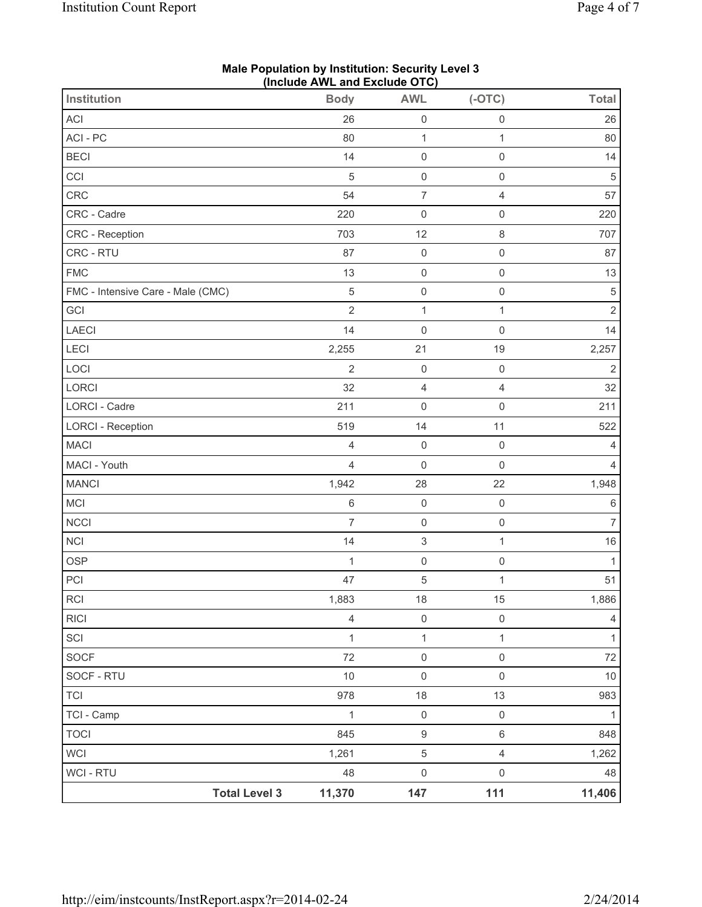| <b>Institution</b>                | (iliciude Avvic aliu Exclude OTO)<br><b>Body</b> | <b>AWL</b>                | $(-OTC)$            | <b>Total</b>   |
|-----------------------------------|--------------------------------------------------|---------------------------|---------------------|----------------|
| ACI                               | 26                                               | $\mathsf 0$               | $\mathsf{O}\xspace$ | 26             |
| ACI-PC                            | 80                                               | $\mathbf{1}$              | $\mathbf{1}$        | 80             |
| <b>BECI</b>                       | 14                                               | $\mathsf 0$               | $\mathsf 0$         | 14             |
| CCI                               | 5                                                | $\mathsf 0$               | $\mathsf{O}\xspace$ | $\,$ 5 $\,$    |
| CRC                               | 54                                               | $\overline{\mathcal{I}}$  | $\overline{4}$      | 57             |
| CRC - Cadre                       | 220                                              | $\mathsf 0$               | $\mathsf{O}\xspace$ | 220            |
| <b>CRC</b> - Reception            | 703                                              | 12                        | 8                   | 707            |
| CRC - RTU                         | 87                                               | $\mathsf{O}\xspace$       | $\mathsf 0$         | 87             |
| <b>FMC</b>                        | 13                                               | $\mathsf 0$               | $\mathsf{O}\xspace$ | 13             |
| FMC - Intensive Care - Male (CMC) | $\sqrt{5}$                                       | $\mathsf 0$               | $\mathsf{O}\xspace$ | $\,$ 5 $\,$    |
| GCI                               | $\overline{2}$                                   | $\mathbf 1$               | $\mathbf{1}$        | $\overline{2}$ |
| <b>LAECI</b>                      | 14                                               | $\mathsf 0$               | $\mathsf{O}\xspace$ | 14             |
| <b>LECI</b>                       | 2,255                                            | 21                        | 19                  | 2,257          |
| LOCI                              | $\overline{2}$                                   | $\mathsf{O}\xspace$       | $\mathsf{O}\xspace$ | $\overline{2}$ |
| LORCI                             | 32                                               | $\overline{4}$            | $\overline{4}$      | 32             |
| <b>LORCI - Cadre</b>              | 211                                              | $\mathsf 0$               | $\mathsf{O}\xspace$ | 211            |
| <b>LORCI - Reception</b>          | 519                                              | 14                        | 11                  | 522            |
| <b>MACI</b>                       | 4                                                | $\mathsf{O}\xspace$       | $\mathsf 0$         | $\overline{4}$ |
| MACI - Youth                      | $\overline{4}$                                   | $\mathsf 0$               | $\mathsf{O}\xspace$ | 4              |
| <b>MANCI</b>                      | 1,942                                            | 28                        | 22                  | 1,948          |
| MCI                               | 6                                                | $\mathsf{O}\xspace$       | $\mathsf{O}\xspace$ | 6              |
| <b>NCCI</b>                       | $\overline{7}$                                   | $\mathsf{O}\xspace$       | $\mathsf{O}\xspace$ | $\overline{7}$ |
| <b>NCI</b>                        | 14                                               | $\ensuremath{\mathsf{3}}$ | $\mathbf{1}$        | $16\,$         |
| <b>OSP</b>                        | $\mathbf{1}$                                     | $\mathsf{O}\xspace$       | $\mathsf{O}\xspace$ | $\mathbf{1}$   |
| PCI                               | 47                                               | $\,$ 5 $\,$               | $\mathbf{1}$        | 51             |
| <b>RCI</b>                        | 1,883                                            | 18                        | 15                  | 1,886          |
| <b>RICI</b>                       | $\overline{4}$                                   | $\mathsf 0$               | $\mathsf{O}\xspace$ | $\overline{4}$ |
| SCI                               | $\mathbf{1}$                                     | $\mathbf{1}$              | $\mathbf{1}$        | $\mathbf{1}$   |
| <b>SOCF</b>                       | 72                                               | $\mathsf{O}\xspace$       | $\mathsf{O}\xspace$ | 72             |
| SOCF - RTU                        | $10$                                             | $\mathsf{O}\xspace$       | $\mathsf{O}\xspace$ | $10$           |
| <b>TCI</b>                        | 978                                              | 18                        | 13                  | 983            |
| TCI - Camp                        | $\mathbf{1}$                                     | $\mathsf 0$               | $\mathsf{O}\xspace$ | $\mathbf{1}$   |
| <b>TOCI</b>                       | 845                                              | $\boldsymbol{9}$          | 6                   | 848            |
| <b>WCI</b>                        | 1,261                                            | $\sqrt{5}$                | $\overline{4}$      | 1,262          |
| <b>WCI - RTU</b>                  | 48                                               | $\mathsf{O}\xspace$       | $\mathsf{O}\xspace$ | 48             |
| <b>Total Level 3</b>              | 11,370                                           | 147                       | 111                 | 11,406         |

#### **Male Population by Institution: Security Level 3 (Include AWL and Exclude OTC)**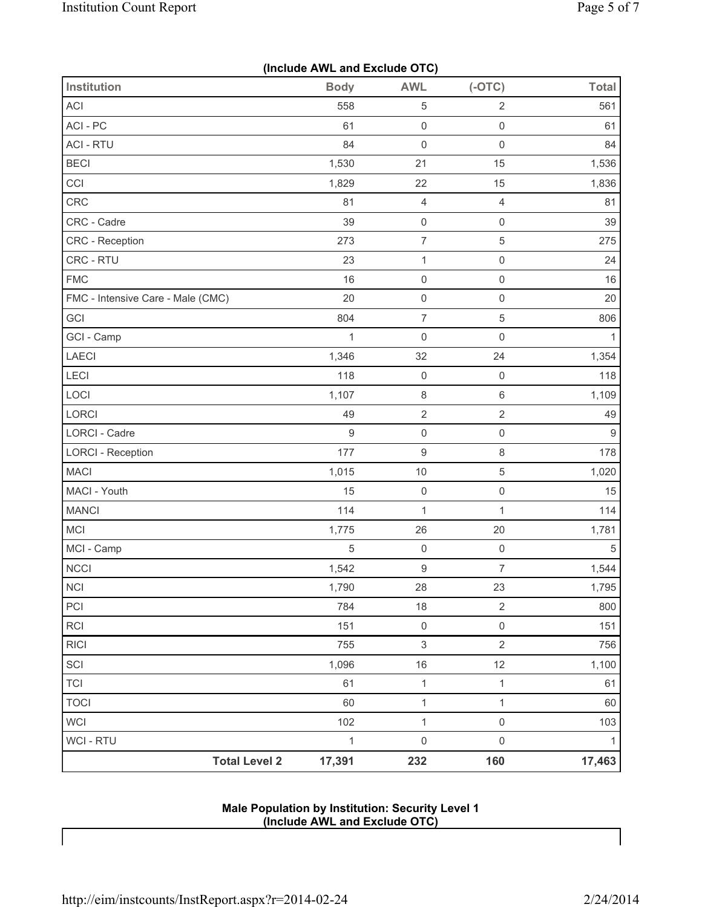|  |  |  | (Include AWL and Exclude OTC) |  |
|--|--|--|-------------------------------|--|
|--|--|--|-------------------------------|--|

| Institution                       | <b>Body</b>      | <b>AWL</b>                | $(-OTC)$            | <b>Total</b>   |
|-----------------------------------|------------------|---------------------------|---------------------|----------------|
| ACI                               | 558              | 5                         | $\sqrt{2}$          | 561            |
| ACI-PC                            | 61               | $\mathsf{O}\xspace$       | $\mathsf 0$         | 61             |
| <b>ACI - RTU</b>                  | 84               | $\mathbf 0$               | $\mathsf 0$         | 84             |
| <b>BECI</b>                       | 1,530            | 21                        | 15                  | 1,536          |
| CCI                               | 1,829            | 22                        | 15                  | 1,836          |
| CRC                               | 81               | $\overline{4}$            | $\overline{4}$      | 81             |
| CRC - Cadre                       | 39               | $\mathsf 0$               | $\mathsf 0$         | 39             |
| <b>CRC</b> - Reception            | 273              | $\boldsymbol{7}$          | $\sqrt{5}$          | 275            |
| CRC - RTU                         | 23               | $\mathbf{1}$              | $\mathsf 0$         | 24             |
| <b>FMC</b>                        | 16               | $\mathsf{O}\xspace$       | $\mathsf 0$         | 16             |
| FMC - Intensive Care - Male (CMC) | 20               | $\mathsf 0$               | $\mathsf{O}\xspace$ | 20             |
| GCI                               | 804              | 7                         | $\,$ 5 $\,$         | 806            |
| GCI - Camp                        | $\mathbf 1$      | $\mathbf 0$               | $\mathsf 0$         | $\mathbf{1}$   |
| LAECI                             | 1,346            | 32                        | 24                  | 1,354          |
| LECI                              | 118              | $\mathsf{O}\xspace$       | $\mathsf 0$         | 118            |
| LOCI                              | 1,107            | $\,8\,$                   | $\,6\,$             | 1,109          |
| LORCI                             | 49               | $\sqrt{2}$                | $\sqrt{2}$          | 49             |
| <b>LORCI - Cadre</b>              | $\boldsymbol{9}$ | $\mathsf 0$               | $\mathsf{O}\xspace$ | $\overline{9}$ |
| <b>LORCI - Reception</b>          | 177              | $\boldsymbol{9}$          | $\,8\,$             | 178            |
| <b>MACI</b>                       | 1,015            | 10                        | $\sqrt{5}$          | 1,020          |
| MACI - Youth                      | 15               | $\mathsf 0$               | $\mathsf{O}\xspace$ | 15             |
| <b>MANCI</b>                      | 114              | $\mathbf 1$               | 1                   | 114            |
| MCI                               | 1,775            | 26                        | 20                  | 1,781          |
| MCI - Camp                        | $\sqrt{5}$       | $\mathbf 0$               | $\mathsf 0$         | 5              |
| NCCI                              | 1,542            | 9                         | $\overline{7}$      | 1,544          |
| <b>NCI</b>                        | 1,790            | 28                        | 23                  | 1,795          |
| PCI                               | 784              | 18                        | $\sqrt{2}$          | 800            |
| $\sf RCI$                         | 151              | $\mathsf{O}\xspace$       | $\mathsf{O}\xspace$ | 151            |
| <b>RICI</b>                       | 755              | $\ensuremath{\mathsf{3}}$ | $\overline{2}$      | 756            |
| SCI                               | 1,096            | 16                        | 12                  | 1,100          |
| <b>TCI</b>                        | 61               | $\mathbf{1}$              | $\mathbf{1}$        | 61             |
| <b>TOCI</b>                       | 60               | $\mathbf 1$               | $\mathbf{1}$        | 60             |
| <b>WCI</b>                        | 102              | $\mathbf 1$               | $\mathsf{O}\xspace$ | 103            |
| <b>WCI - RTU</b>                  | $\mathbf{1}$     | $\mathsf{O}\xspace$       | $\mathsf{O}\xspace$ | $\mathbf{1}$   |
| <b>Total Level 2</b>              | 17,391           | 232                       | 160                 | 17,463         |

**Male Population by Institution: Security Level 1 (Include AWL and Exclude OTC)** 

 $\mathsf{l}$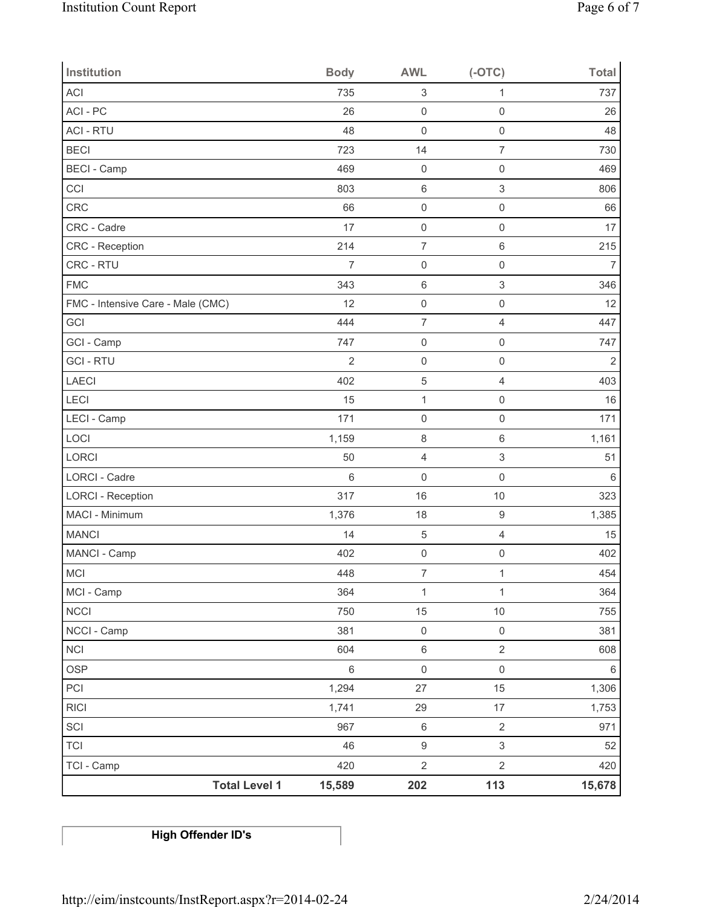| <b>Institution</b>                | <b>Body</b>    | <b>AWL</b>                | $(-OTC)$            | <b>Total</b>   |
|-----------------------------------|----------------|---------------------------|---------------------|----------------|
| <b>ACI</b>                        | 735            | $\ensuremath{\mathsf{3}}$ | 1                   | 737            |
| ACI-PC                            | 26             | $\mathsf{O}\xspace$       | $\mathbf 0$         | 26             |
| <b>ACI - RTU</b>                  | 48             | $\mathsf{O}\xspace$       | $\mathsf{O}\xspace$ | 48             |
| <b>BECI</b>                       | 723            | 14                        | $\overline{7}$      | 730            |
| <b>BECI</b> - Camp                | 469            | $\mathsf{O}\xspace$       | $\mathsf{O}\xspace$ | 469            |
| CCI                               | 803            | $\,6\,$                   | $\,$ 3 $\,$         | 806            |
| CRC                               | 66             | $\mathsf{O}\xspace$       | $\mathsf{O}\xspace$ | 66             |
| CRC - Cadre                       | 17             | $\mathsf 0$               | $\mathsf{O}\xspace$ | 17             |
| CRC - Reception                   | 214            | $\overline{7}$            | $\,6\,$             | 215            |
| CRC - RTU                         | $\overline{7}$ | $\mathsf{O}\xspace$       | $\mathsf{O}\xspace$ | $\overline{7}$ |
| <b>FMC</b>                        | 343            | $\,6\,$                   | $\,$ 3 $\,$         | 346            |
| FMC - Intensive Care - Male (CMC) | 12             | $\mathsf{O}\xspace$       | $\mathsf{O}\xspace$ | 12             |
| GCI                               | 444            | $\overline{7}$            | $\overline{4}$      | 447            |
| GCI - Camp                        | 747            | $\mathsf 0$               | $\mathsf{O}\xspace$ | 747            |
| <b>GCI-RTU</b>                    | $\overline{2}$ | $\mathsf{O}\xspace$       | $\mathsf{O}\xspace$ | $\mathbf 2$    |
| LAECI                             | 402            | $\,$ 5 $\,$               | $\overline{4}$      | 403            |
| LECI                              | 15             | $\mathbf 1$               | $\mathsf{O}\xspace$ | 16             |
| LECI - Camp                       | 171            | $\mathsf{O}\xspace$       | $\mathsf{O}\xspace$ | 171            |
| LOCI                              | 1,159          | $\,8\,$                   | $\,6\,$             | 1,161          |
| LORCI                             | 50             | $\overline{4}$            | $\,$ 3 $\,$         | 51             |
| <b>LORCI - Cadre</b>              | $\,6$          | $\mathsf{O}\xspace$       | $\mathsf{O}\xspace$ | $\,6$          |
| <b>LORCI - Reception</b>          | 317            | 16                        | 10                  | 323            |
| MACI - Minimum                    | 1,376          | 18                        | $\boldsymbol{9}$    | 1,385          |
| <b>MANCI</b>                      | 14             | $\,$ 5 $\,$               | $\overline{4}$      | 15             |
| MANCI - Camp                      | 402            | $\mathsf{O}\xspace$       | $\mathsf{O}\xspace$ | 402            |
| MCI                               | 448            | $\overline{7}$            | $\mathbf{1}$        | 454            |
| MCI - Camp                        | 364            | $\mathbf{1}$              | $\mathbf{1}$        | 364            |
| <b>NCCI</b>                       | 750            | 15                        | $10$                | 755            |
| NCCI - Camp                       | 381            | $\mathsf{O}\xspace$       | $\mathsf 0$         | 381            |
| <b>NCI</b>                        | 604            | $\,6\,$                   | $\overline{2}$      | 608            |
| <b>OSP</b>                        | $\,6\,$        | $\mathsf{O}\xspace$       | $\mathsf{O}\xspace$ | 6              |
| PCI                               | 1,294          | 27                        | 15                  | 1,306          |
| <b>RICI</b>                       | 1,741          | 29                        | 17                  | 1,753          |
| SCI                               | 967            | $\,6\,$                   | $\overline{2}$      | 971            |
| <b>TCI</b>                        | 46             | $\boldsymbol{9}$          | 3                   | 52             |
| TCI - Camp                        | 420            | $\sqrt{2}$                | $\overline{2}$      | 420            |
| <b>Total Level 1</b>              | 15,589         | 202                       | 113                 | 15,678         |

# **High Offender ID's**